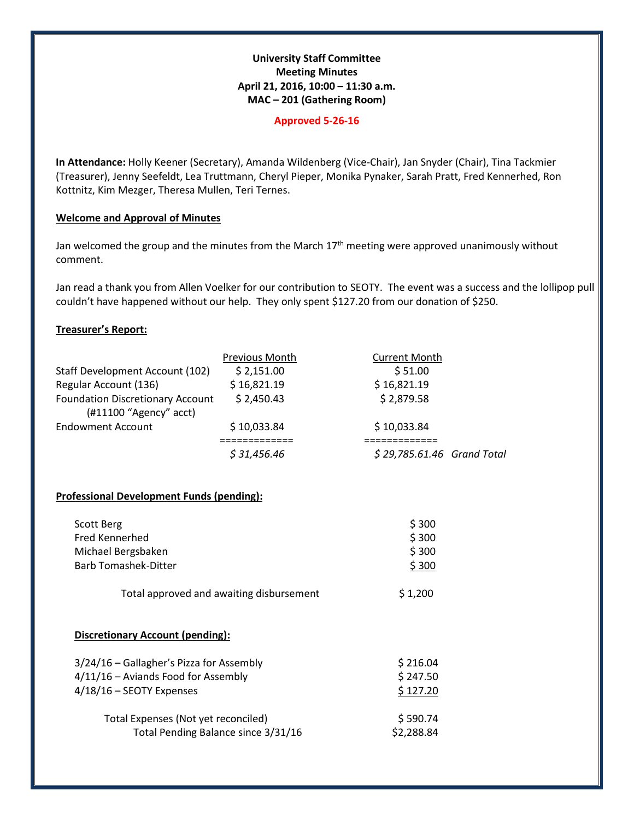# **University Staff Committee Meeting Minutes April 21, 2016, 10:00 – 11:30 a.m. MAC – 201 (Gathering Room)**

#### **Approved 5-26-16**

**In Attendance:** Holly Keener (Secretary), Amanda Wildenberg (Vice-Chair), Jan Snyder (Chair), Tina Tackmier (Treasurer), Jenny Seefeldt, Lea Truttmann, Cheryl Pieper, Monika Pynaker, Sarah Pratt, Fred Kennerhed, Ron Kottnitz, Kim Mezger, Theresa Mullen, Teri Ternes.

### **Welcome and Approval of Minutes**

Jan welcomed the group and the minutes from the March  $17<sup>th</sup>$  meeting were approved unanimously without comment.

Jan read a thank you from Allen Voelker for our contribution to SEOTY. The event was a success and the lollipop pull couldn't have happened without our help. They only spent \$127.20 from our donation of \$250.

### **Treasurer's Report:**

|                                                                     | <b>Previous Month</b> | <b>Current Month</b>       |
|---------------------------------------------------------------------|-----------------------|----------------------------|
| <b>Staff Development Account (102)</b>                              | \$2,151.00            | \$51.00                    |
| Regular Account (136)                                               | \$16,821.19           | \$16,821.19                |
| <b>Foundation Discretionary Account</b><br>$(H11100$ "Agency" acct) | \$2,450.43            | \$2,879.58                 |
| <b>Endowment Account</b>                                            | \$10,033.84           | \$10,033.84                |
|                                                                     | \$31,456.46           | \$29,785.61.46 Grand Total |

# **Professional Development Funds (pending):**

| Scott Berg                               | \$300      |  |
|------------------------------------------|------------|--|
| Fred Kennerhed                           | \$300      |  |
| Michael Bergsbaken                       | \$300      |  |
| <b>Barb Tomashek-Ditter</b>              | \$300      |  |
| Total approved and awaiting disbursement | \$1,200    |  |
| Discretionary Account (pending):         |            |  |
| 3/24/16 – Gallagher's Pizza for Assembly | \$216.04   |  |
| 4/11/16 - Aviands Food for Assembly      | \$247.50   |  |
| $4/18/16$ – SEOTY Expenses               | \$127.20   |  |
| Total Expenses (Not yet reconciled)      | \$590.74   |  |
| Total Pending Balance since 3/31/16      | \$2.288.84 |  |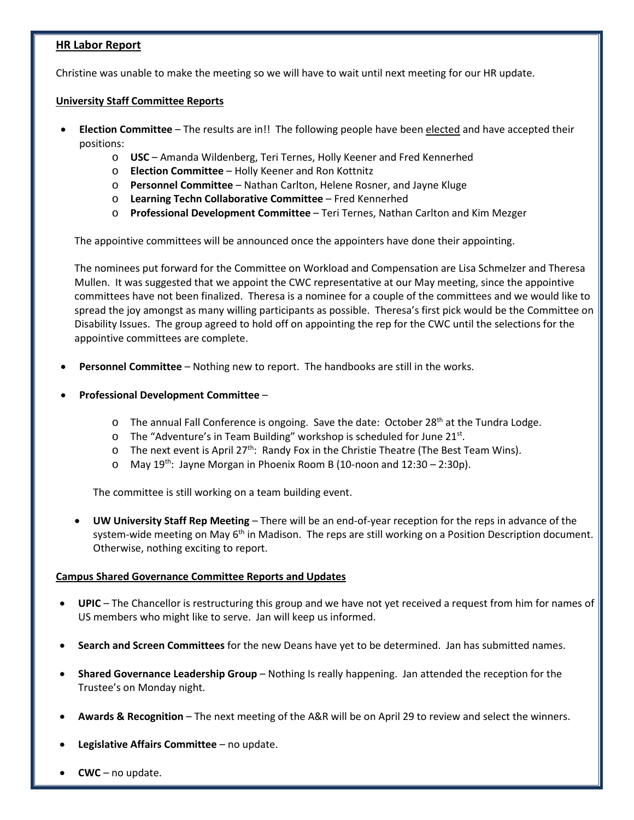# **HR Labor Report**

Christine was unable to make the meeting so we will have to wait until next meeting for our HR update.

### **University Staff Committee Reports**

- **Election Committee**  The results are in!! The following people have been elected and have accepted their positions:
	- o **USC** Amanda Wildenberg, Teri Ternes, Holly Keener and Fred Kennerhed
	- o **Election Committee** Holly Keener and Ron Kottnitz
	- o **Personnel Committee**  Nathan Carlton, Helene Rosner, and Jayne Kluge
	- o **Learning Techn Collaborative Committee**  Fred Kennerhed
	- o **Professional Development Committee**  Teri Ternes, Nathan Carlton and Kim Mezger

The appointive committees will be announced once the appointers have done their appointing.

The nominees put forward for the Committee on Workload and Compensation are Lisa Schmelzer and Theresa Mullen. It was suggested that we appoint the CWC representative at our May meeting, since the appointive committees have not been finalized. Theresa is a nominee for a couple of the committees and we would like to spread the joy amongst as many willing participants as possible. Theresa's first pick would be the Committee on Disability Issues. The group agreed to hold off on appointing the rep for the CWC until the selections for the appointive committees are complete.

- **Personnel Committee**  Nothing new to report. The handbooks are still in the works.
- **Professional Development Committee**
	- $\circ$  The annual Fall Conference is ongoing. Save the date: October 28<sup>th</sup> at the Tundra Lodge.
	- o The "Adventure's in Team Building" workshop is scheduled for June 21st.
	- $\circ$  The next event is April 27<sup>th</sup>: Randy Fox in the Christie Theatre (The Best Team Wins).
	- $\circ$  May 19<sup>th</sup>: Jayne Morgan in Phoenix Room B (10-noon and 12:30 2:30p).

The committee is still working on a team building event.

• **UW University Staff Rep Meeting** – There will be an end-of-year reception for the reps in advance of the system-wide meeting on May  $6<sup>th</sup>$  in Madison. The reps are still working on a Position Description document. Otherwise, nothing exciting to report.

# **Campus Shared Governance Committee Reports and Updates**

- **UPIC**  The Chancellor is restructuring this group and we have not yet received a request from him for names of US members who might like to serve. Jan will keep us informed.
- **Search and Screen Committees** for the new Deans have yet to be determined. Jan has submitted names.
- **Shared Governance Leadership Group**  Nothing Is really happening. Jan attended the reception for the Trustee's on Monday night.
- **Awards & Recognition**  The next meeting of the A&R will be on April 29 to review and select the winners.
- **Legislative Affairs Committee** no update.
- **CWC**  no update.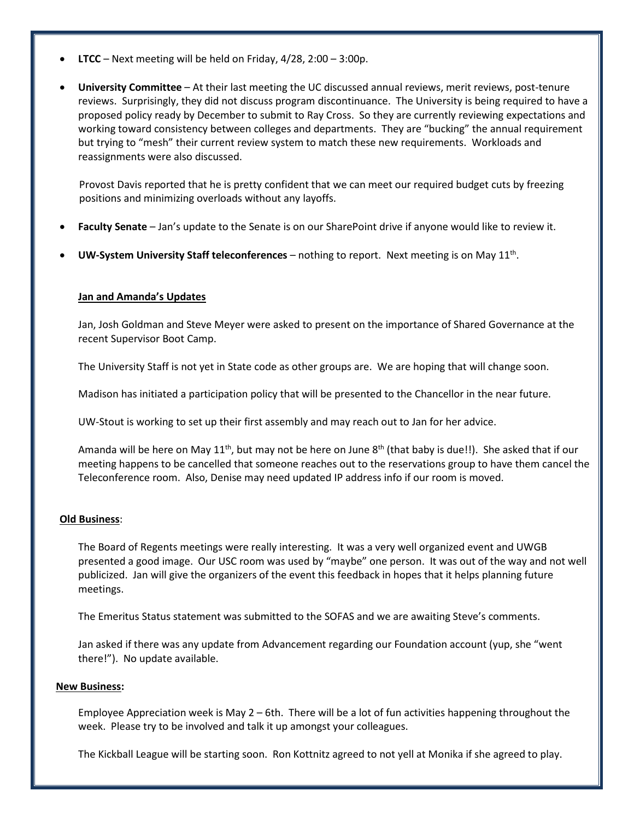- **LTCC** Next meeting will be held on Friday, 4/28, 2:00 3:00p.
- **University Committee** At their last meeting the UC discussed annual reviews, merit reviews, post-tenure reviews. Surprisingly, they did not discuss program discontinuance. The University is being required to have a proposed policy ready by December to submit to Ray Cross. So they are currently reviewing expectations and working toward consistency between colleges and departments. They are "bucking" the annual requirement but trying to "mesh" their current review system to match these new requirements. Workloads and reassignments were also discussed.

Provost Davis reported that he is pretty confident that we can meet our required budget cuts by freezing positions and minimizing overloads without any layoffs.

- **Faculty Senate** Jan's update to the Senate is on our SharePoint drive if anyone would like to review it.
- **UW-System University Staff teleconferences** nothing to report. Next meeting is on May 11th.

### **Jan and Amanda's Updates**

Jan, Josh Goldman and Steve Meyer were asked to present on the importance of Shared Governance at the recent Supervisor Boot Camp.

The University Staff is not yet in State code as other groups are. We are hoping that will change soon.

Madison has initiated a participation policy that will be presented to the Chancellor in the near future.

UW-Stout is working to set up their first assembly and may reach out to Jan for her advice.

Amanda will be here on May  $11^{th}$ , but may not be here on June  $8^{th}$  (that baby is due!!). She asked that if our meeting happens to be cancelled that someone reaches out to the reservations group to have them cancel the Teleconference room. Also, Denise may need updated IP address info if our room is moved.

# **Old Business**:

The Board of Regents meetings were really interesting. It was a very well organized event and UWGB presented a good image. Our USC room was used by "maybe" one person. It was out of the way and not well publicized. Jan will give the organizers of the event this feedback in hopes that it helps planning future meetings.

The Emeritus Status statement was submitted to the SOFAS and we are awaiting Steve's comments.

Jan asked if there was any update from Advancement regarding our Foundation account (yup, she "went there!"). No update available.

#### **New Business:**

Employee Appreciation week is May 2 – 6th. There will be a lot of fun activities happening throughout the week. Please try to be involved and talk it up amongst your colleagues.

The Kickball League will be starting soon. Ron Kottnitz agreed to not yell at Monika if she agreed to play.